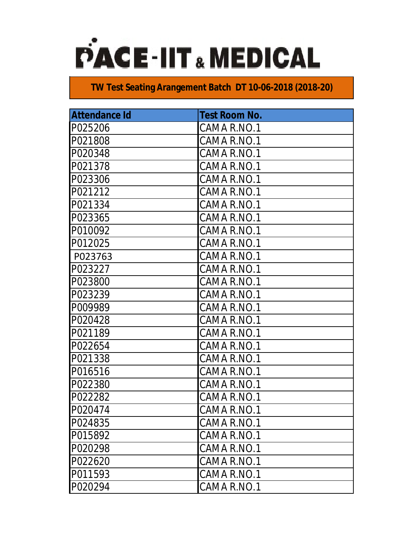

| <b>Attendance Id</b> | <b>Test Room No.</b> |
|----------------------|----------------------|
| P025206              | CAMA R.NO.1          |
| P021808              | CAMA R.NO.1          |
| P020348              | CAMA R.NO.1          |
| P021378              | CAMA R.NO.1          |
| P023306              | CAMA R.NO.1          |
| P021212              | CAMA R.NO.1          |
| P021334              | CAMA R.NO.1          |
| P023365              | CAMA R.NO.1          |
| P010092              | CAMA R.NO.1          |
| P012025              | CAMA R.NO.1          |
| P023763              | CAMA R.NO.1          |
| P023227              | CAMA R.NO.1          |
| P023800              | CAMA R.NO.1          |
| P023239              | CAMA R.NO.1          |
| P009989              | CAMA R.NO.1          |
| P020428              | CAMA R.NO.1          |
| P021189              | CAMA R.NO.1          |
| P022654              | CAMA R.NO.1          |
| P021338              | CAMA R.NO.1          |
| P016516              | CAMA R.NO.1          |
| P022380              | CAMA R.NO.1          |
| P022282              | CAMA R.NO.1          |
| P020474              | CAMA R.NO.1          |
| P024835              | CAMA R.NO.1          |
| P015892              | CAMA R.NO.1          |
| P020298              | CAMA R.NO.1          |
| P022620              | CAMA R.NO.1          |
| P011593              | CAMA R.NO.1          |
| P020294              | CAMA R.NO.1          |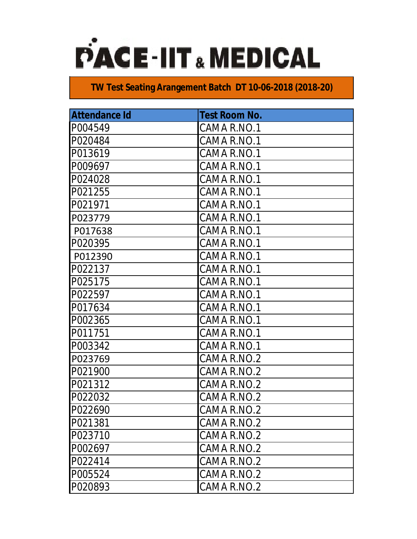

| <b>Attendance Id</b> | <b>Test Room No.</b> |
|----------------------|----------------------|
| P004549              | CAMA R.NO.1          |
| P020484              | CAMA R.NO.1          |
| P013619              | CAMA R.NO.1          |
| P009697              | CAMA R.NO.1          |
| P024028              | CAMA R.NO.1          |
| P021255              | CAMA R.NO.1          |
| P021971              | CAMA R.NO.1          |
| P023779              | CAMA R.NO.1          |
| P017638              | CAMA R.NO.1          |
| P020395              | CAMA R.NO.1          |
| P012390              | CAMA R.NO.1          |
| P022137              | CAMA R.NO.1          |
| P025175              | CAMA R.NO.1          |
| P022597              | CAMA R.NO.1          |
| P017634              | CAMA R.NO.1          |
| P002365              | CAMA R.NO.1          |
| P011751              | CAMA R.NO.1          |
| P003342              | CAMA R.NO.1          |
| P023769              | CAMA R.NO.2          |
| P021900              | CAMA R.NO.2          |
| P021312              | CAMA R.NO.2          |
| P022032              | CAMA R.NO.2          |
| P022690              | CAMA R.NO.2          |
| P021381              | CAMA R.NO.2          |
| P023710              | CAMA R.NO.2          |
| P002697              | CAMA R.NO.2          |
| P022414              | CAMA R.NO.2          |
| P005524              | CAMA R.NO.2          |
| P020893              | CAMA R.NO.2          |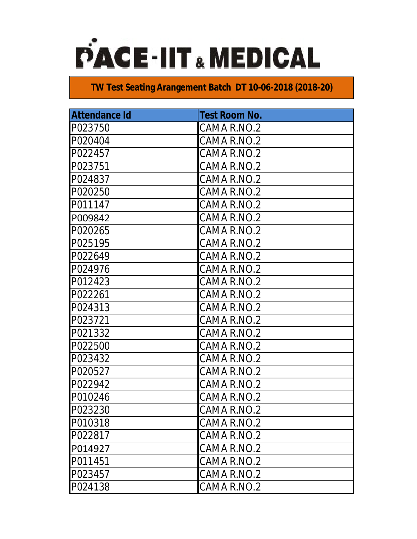

| <b>Attendance Id</b> | <b>Test Room No.</b> |
|----------------------|----------------------|
| P023750              | CAMA R.NO.2          |
| P020404              | CAMA R.NO.2          |
| P022457              | CAMA R.NO.2          |
| P023751              | CAMA R.NO.2          |
| P024837              | CAMA R.NO.2          |
| P020250              | CAMA R.NO.2          |
| P011147              | CAMA R.NO.2          |
| P009842              | CAMA R.NO.2          |
| P020265              | CAMA R.NO.2          |
| P025195              | CAMA R.NO.2          |
| P022649              | CAMA R.NO.2          |
| P024976              | CAMA R.NO.2          |
| P012423              | CAMA R.NO.2          |
| P022261              | CAMA R.NO.2          |
| P024313              | CAMA R.NO.2          |
| P023721              | CAMA R.NO.2          |
| P021332              | CAMA R.NO.2          |
| P022500              | CAMA R.NO.2          |
| P023432              | CAMA R.NO.2          |
| P020527              | CAMA R.NO.2          |
| P022942              | CAMA R.NO.2          |
| P010246              | CAMA R.NO.2          |
| P023230              | CAMA R.NO.2          |
| P010318              | CAMA R.NO.2          |
| P022817              | CAMA R.NO.2          |
| P014927              | CAMA R.NO.2          |
| P011451              | CAMA R.NO.2          |
| P023457              | CAMA R.NO.2          |
| P024138              | CAMA R.NO.2          |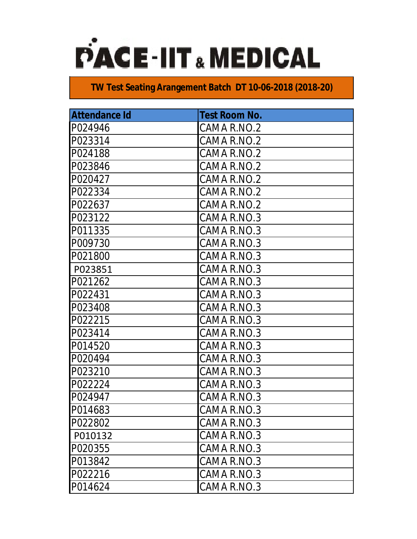

| <b>Attendance Id</b> | <b>Test Room No.</b> |
|----------------------|----------------------|
| P024946              | CAMA R.NO.2          |
| P023314              | CAMA R.NO.2          |
| P024188              | CAMA R.NO.2          |
| P023846              | CAMA R.NO.2          |
| P020427              | CAMA R.NO.2          |
| P022334              | CAMA R.NO.2          |
| P022637              | CAMA R.NO.2          |
| P023122              | CAMA R.NO.3          |
| P011335              | CAMA R.NO.3          |
| P009730              | CAMA R.NO.3          |
| P021800              | CAMA R.NO.3          |
| P023851              | CAMA R.NO.3          |
| P021262              | CAMA R.NO.3          |
| P022431              | CAMA R.NO.3          |
| P023408              | CAMA R.NO.3          |
| P022215              | CAMA R.NO.3          |
| P023414              | CAMA R.NO.3          |
| P014520              | CAMA R.NO.3          |
| P020494              | CAMA R.NO.3          |
| P023210              | CAMA R.NO.3          |
| P022224              | CAMA R.NO.3          |
| P024947              | CAMA R.NO.3          |
| P014683              | CAMA R.NO.3          |
| P022802              | CAMA R.NO.3          |
| P010132              | CAMA R.NO.3          |
| P020355              | CAMA R.NO.3          |
| P013842              | CAMA R.NO.3          |
| P022216              | CAMA R.NO.3          |
| P014624              | CAMA R.NO.3          |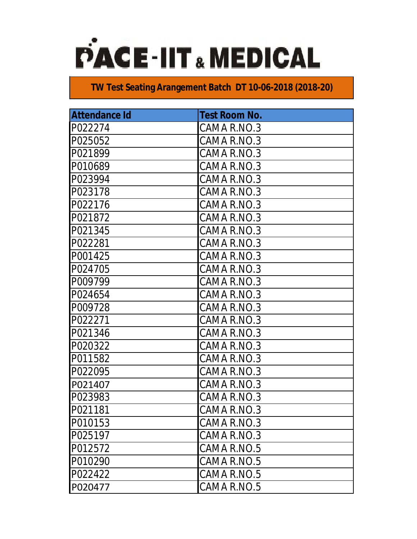

| <b>Attendance Id</b> | <b>Test Room No.</b> |
|----------------------|----------------------|
| P022274              | CAMA R.NO.3          |
| P025052              | CAMA R.NO.3          |
| P021899              | CAMA R.NO.3          |
| P010689              | CAMA R.NO.3          |
| P023994              | CAMA R.NO.3          |
| P023178              | CAMA R.NO.3          |
| P022176              | CAMA R.NO.3          |
| P021872              | CAMA R.NO.3          |
| P021345              | CAMA R.NO.3          |
| P022281              | CAMA R.NO.3          |
| P001425              | CAMA R.NO.3          |
| P024705              | CAMA R.NO.3          |
| P009799              | CAMA R.NO.3          |
| P024654              | CAMA R.NO.3          |
| P009728              | CAMA R.NO.3          |
| P022271              | CAMA R.NO.3          |
| P021346              | CAMA R.NO.3          |
| P020322              | CAMA R.NO.3          |
| P011582              | CAMA R.NO.3          |
| P022095              | CAMA R.NO.3          |
| P021407              | CAMA R.NO.3          |
| P023983              | CAMA R.NO.3          |
| P021181              | CAMA R.NO.3          |
| P010153              | CAMA R.NO.3          |
| P025197              | CAMA R.NO.3          |
| P012572              | CAMA R.NO.5          |
| P010290              | CAMA R.NO.5          |
| P022422              | CAMA R.NO.5          |
| P020477              | CAMA R.NO.5          |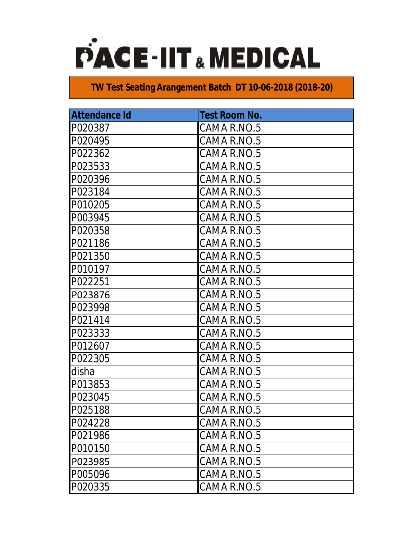

| <b>Attendance Id</b> | <b>Test Room No.</b> |
|----------------------|----------------------|
| P020387              | CAMA R.NO.5          |
| P020495              | CAMA R.NO.5          |
| P022362              | CAMA R.NO.5          |
| P023533              | CAMA R.NO.5          |
| P020396              | CAMA R.NO.5          |
| P023184              | CAMA R.NO.5          |
| P010205              | CAMA R.NO.5          |
| P003945              | CAMA R.NO.5          |
| P020358              | CAMA R.NO.5          |
| P021186              | CAMA R.NO.5          |
| P021350              | CAMA R.NO.5          |
| P010197              | CAMA R.NO.5          |
| P022251              | CAMA R.NO.5          |
| P023876              | CAMA R.NO.5          |
| P023998              | CAMA R.NO.5          |
| P021414              | CAMA R.NO.5          |
| P023333              | CAMA R.NO.5          |
| P012607              | CAMA R.NO.5          |
| P022305              | CAMA R.NO.5          |
| disha                | CAMA R.NO.5          |
| P013853              | CAMA R.NO.5          |
| P023045              | CAMA R.NO.5          |
| P025188              | CAMA R.NO.5          |
| P024228              | CAMA R.NO.5          |
| P021986              | CAMA R.NO.5          |
| P010150              | CAMA R.NO.5          |
| P023985              | CAMA R.NO.5          |
| P005096              | CAMA R.NO.5          |
| P020335              | CAMA R.NO.5          |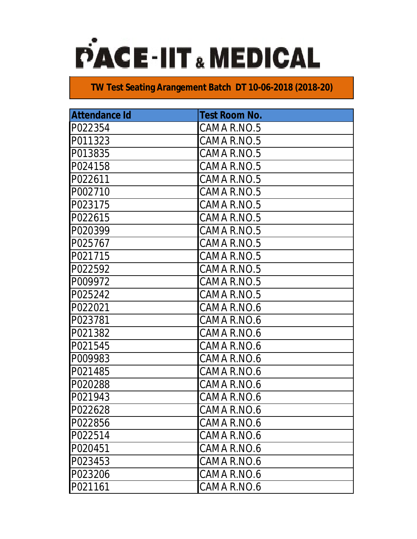

| <b>Attendance Id</b> | <b>Test Room No.</b> |
|----------------------|----------------------|
| P022354              | CAMA R.NO.5          |
| P011323              | CAMA R.NO.5          |
| P013835              | CAMA R.NO.5          |
| P024158              | CAMA R.NO.5          |
| P022611              | CAMA R.NO.5          |
| P002710              | CAMA R.NO.5          |
| P023175              | CAMA R.NO.5          |
| P022615              | CAMA R.NO.5          |
| P020399              | CAMA R.NO.5          |
| P025767              | CAMA R.NO.5          |
| P021715              | CAMA R.NO.5          |
| P022592              | CAMA R.NO.5          |
| P009972              | CAMA R.NO.5          |
| P025242              | CAMA R.NO.5          |
| P022021              | CAMA R.NO.6          |
| P023781              | CAMA R.NO.6          |
| P021382              | CAMA R.NO.6          |
| P021545              | CAMA R.NO.6          |
| P009983              | CAMA R.NO.6          |
| P021485              | CAMA R.NO.6          |
| P020288              | CAMA R.NO.6          |
| P021943              | CAMA R.NO.6          |
| P022628              | CAMA R.NO.6          |
| P022856              | CAMA R.NO.6          |
| P022514              | CAMA R.NO.6          |
| P020451              | CAMA R.NO.6          |
| P023453              | CAMA R.NO.6          |
| P023206              | CAMA R.NO.6          |
| P021161              | CAMA R.NO.6          |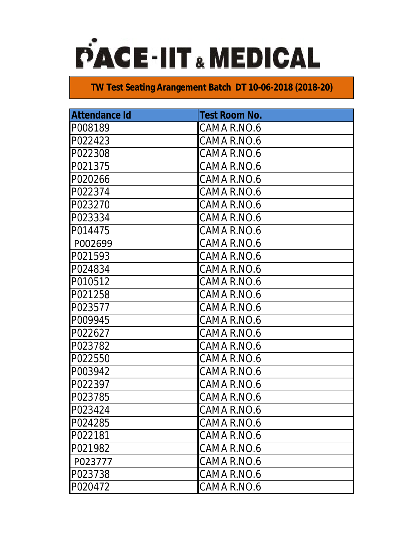

| <b>Attendance Id</b> | <b>Test Room No.</b> |
|----------------------|----------------------|
| P008189              | CAMA R.NO.6          |
| P022423              | CAMA R.NO.6          |
| P022308              | CAMA R.NO.6          |
| P021375              | CAMA R.NO.6          |
| P020266              | CAMA R.NO.6          |
| P022374              | CAMA R.NO.6          |
| P023270              | CAMA R.NO.6          |
| P023334              | CAMA R.NO.6          |
| P014475              | CAMA R.NO.6          |
| P002699              | CAMA R.NO.6          |
| P021593              | CAMA R.NO.6          |
| P024834              | CAMA R.NO.6          |
| P010512              | CAMA R.NO.6          |
| P021258              | CAMA R.NO.6          |
| P023577              | CAMA R.NO.6          |
| P009945              | CAMA R.NO.6          |
| P022627              | CAMA R.NO.6          |
| P023782              | CAMA R.NO.6          |
| P022550              | CAMA R.NO.6          |
| P003942              | CAMA R.NO.6          |
| P022397              | CAMA R.NO.6          |
| P023785              | CAMA R.NO.6          |
| P023424              | CAMA R.NO.6          |
| P024285              | CAMA R.NO.6          |
| P022181              | CAMA R.NO.6          |
| P021982              | CAMA R.NO.6          |
| P023777              | CAMA R.NO.6          |
| P023738              | CAMA R.NO.6          |
| P020472              | CAMA R.NO.6          |